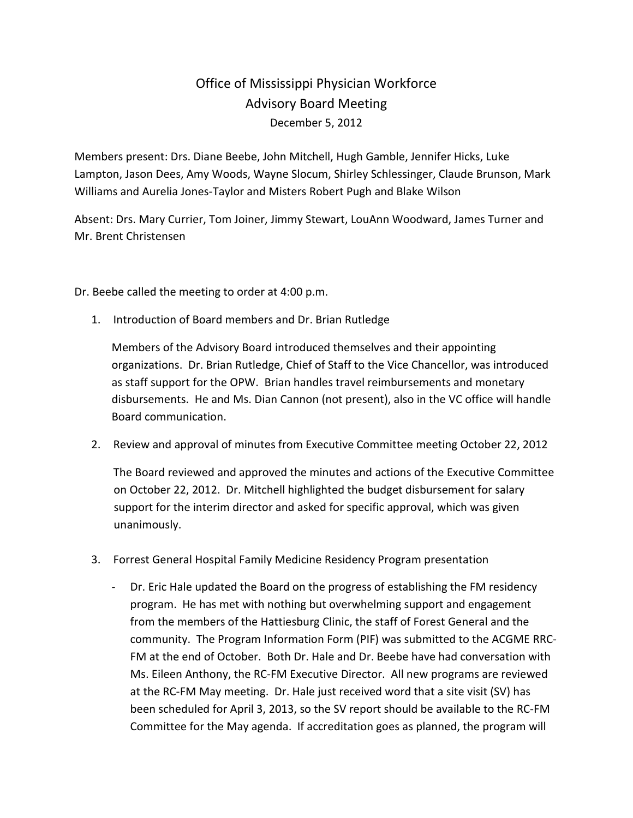## Office of Mississippi Physician Workforce Advisory Board Meeting December 5, 2012

Members present: Drs. Diane Beebe, John Mitchell, Hugh Gamble, Jennifer Hicks, Luke Lampton, Jason Dees, Amy Woods, Wayne Slocum, Shirley Schlessinger, Claude Brunson, Mark Williams and Aurelia Jones-Taylor and Misters Robert Pugh and Blake Wilson

Absent: Drs. Mary Currier, Tom Joiner, Jimmy Stewart, LouAnn Woodward, James Turner and Mr. Brent Christensen

Dr. Beebe called the meeting to order at 4:00 p.m.

1. Introduction of Board members and Dr. Brian Rutledge

Members of the Advisory Board introduced themselves and their appointing organizations. Dr. Brian Rutledge, Chief of Staff to the Vice Chancellor, was introduced as staff support for the OPW. Brian handles travel reimbursements and monetary disbursements. He and Ms. Dian Cannon (not present), also in the VC office will handle Board communication.

2. Review and approval of minutes from Executive Committee meeting October 22, 2012

The Board reviewed and approved the minutes and actions of the Executive Committee on October 22, 2012. Dr. Mitchell highlighted the budget disbursement for salary support for the interim director and asked for specific approval, which was given unanimously.

- 3. Forrest General Hospital Family Medicine Residency Program presentation
	- Dr. Eric Hale updated the Board on the progress of establishing the FM residency program. He has met with nothing but overwhelming support and engagement from the members of the Hattiesburg Clinic, the staff of Forest General and the community. The Program Information Form (PIF) was submitted to the ACGME RRC-FM at the end of October. Both Dr. Hale and Dr. Beebe have had conversation with Ms. Eileen Anthony, the RC-FM Executive Director. All new programs are reviewed at the RC-FM May meeting. Dr. Hale just received word that a site visit (SV) has been scheduled for April 3, 2013, so the SV report should be available to the RC-FM Committee for the May agenda. If accreditation goes as planned, the program will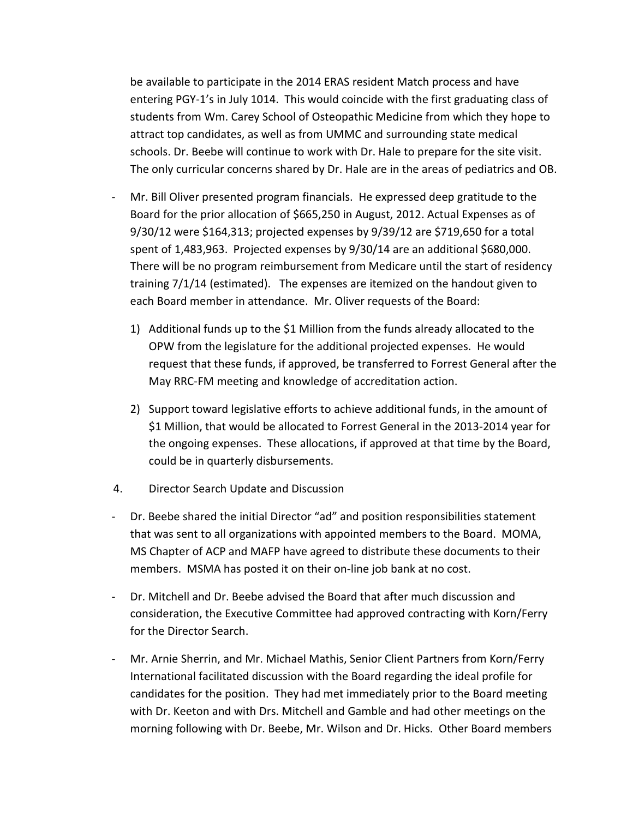be available to participate in the 2014 ERAS resident Match process and have entering PGY-1's in July 1014. This would coincide with the first graduating class of students from Wm. Carey School of Osteopathic Medicine from which they hope to attract top candidates, as well as from UMMC and surrounding state medical schools. Dr. Beebe will continue to work with Dr. Hale to prepare for the site visit. The only curricular concerns shared by Dr. Hale are in the areas of pediatrics and OB.

- Mr. Bill Oliver presented program financials. He expressed deep gratitude to the Board for the prior allocation of \$665,250 in August, 2012. Actual Expenses as of 9/30/12 were \$164,313; projected expenses by 9/39/12 are \$719,650 for a total spent of 1,483,963. Projected expenses by 9/30/14 are an additional \$680,000. There will be no program reimbursement from Medicare until the start of residency training 7/1/14 (estimated). The expenses are itemized on the handout given to each Board member in attendance. Mr. Oliver requests of the Board:
	- 1) Additional funds up to the \$1 Million from the funds already allocated to the OPW from the legislature for the additional projected expenses. He would request that these funds, if approved, be transferred to Forrest General after the May RRC-FM meeting and knowledge of accreditation action.
	- 2) Support toward legislative efforts to achieve additional funds, in the amount of \$1 Million, that would be allocated to Forrest General in the 2013-2014 year for the ongoing expenses. These allocations, if approved at that time by the Board, could be in quarterly disbursements.
- 4. Director Search Update and Discussion
- Dr. Beebe shared the initial Director "ad" and position responsibilities statement that was sent to all organizations with appointed members to the Board. MOMA, MS Chapter of ACP and MAFP have agreed to distribute these documents to their members. MSMA has posted it on their on-line job bank at no cost.
- Dr. Mitchell and Dr. Beebe advised the Board that after much discussion and consideration, the Executive Committee had approved contracting with Korn/Ferry for the Director Search.
- Mr. Arnie Sherrin, and Mr. Michael Mathis, Senior Client Partners from Korn/Ferry International facilitated discussion with the Board regarding the ideal profile for candidates for the position. They had met immediately prior to the Board meeting with Dr. Keeton and with Drs. Mitchell and Gamble and had other meetings on the morning following with Dr. Beebe, Mr. Wilson and Dr. Hicks. Other Board members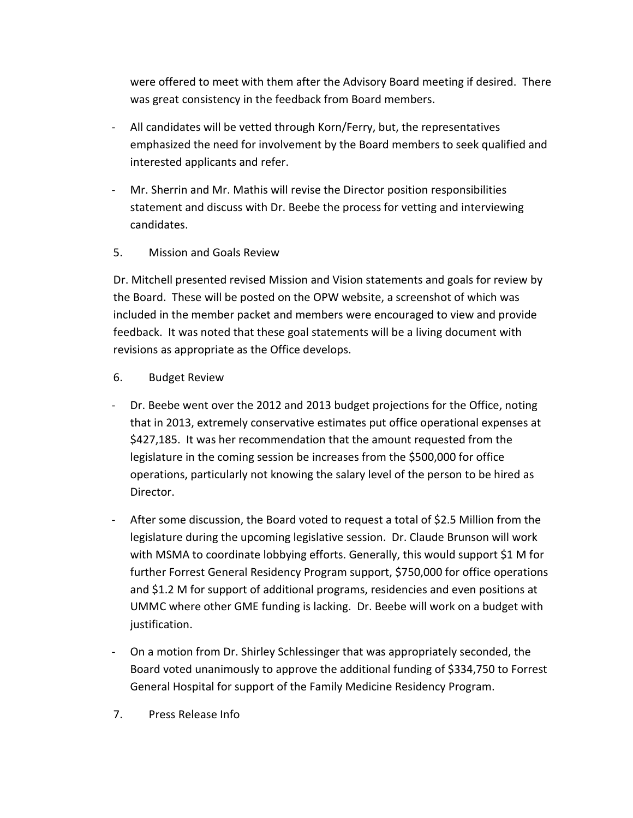were offered to meet with them after the Advisory Board meeting if desired. There was great consistency in the feedback from Board members.

- All candidates will be vetted through Korn/Ferry, but, the representatives emphasized the need for involvement by the Board members to seek qualified and interested applicants and refer.
- Mr. Sherrin and Mr. Mathis will revise the Director position responsibilities statement and discuss with Dr. Beebe the process for vetting and interviewing candidates.
- 5. Mission and Goals Review

Dr. Mitchell presented revised Mission and Vision statements and goals for review by the Board. These will be posted on the OPW website, a screenshot of which was included in the member packet and members were encouraged to view and provide feedback. It was noted that these goal statements will be a living document with revisions as appropriate as the Office develops.

- 6. Budget Review
- Dr. Beebe went over the 2012 and 2013 budget projections for the Office, noting that in 2013, extremely conservative estimates put office operational expenses at \$427,185. It was her recommendation that the amount requested from the legislature in the coming session be increases from the \$500,000 for office operations, particularly not knowing the salary level of the person to be hired as Director.
- After some discussion, the Board voted to request a total of \$2.5 Million from the legislature during the upcoming legislative session. Dr. Claude Brunson will work with MSMA to coordinate lobbying efforts. Generally, this would support \$1 M for further Forrest General Residency Program support, \$750,000 for office operations and \$1.2 M for support of additional programs, residencies and even positions at UMMC where other GME funding is lacking. Dr. Beebe will work on a budget with justification.
- On a motion from Dr. Shirley Schlessinger that was appropriately seconded, the Board voted unanimously to approve the additional funding of \$334,750 to Forrest General Hospital for support of the Family Medicine Residency Program.
- 7. Press Release Info